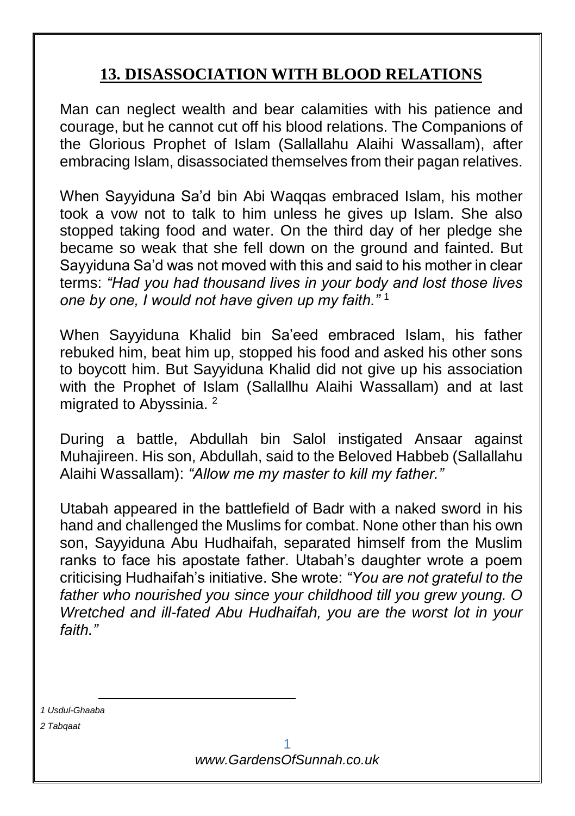## **13. DISASSOCIATION WITH BLOOD RELATIONS**

Man can neglect wealth and bear calamities with his patience and courage, but he cannot cut off his blood relations. The Companions of the Glorious Prophet of Islam (Sallallahu Alaihi Wassallam), after embracing Islam, disassociated themselves from their pagan relatives.

When Sayyiduna Sa'd bin Abi Waqqas embraced Islam, his mother took a vow not to talk to him unless he gives up Islam. She also stopped taking food and water. On the third day of her pledge she became so weak that she fell down on the ground and fainted. But Sayyiduna Sa'd was not moved with this and said to his mother in clear terms: *"Had you had thousand lives in your body and lost those lives one by one, I would not have given up my faith."* <sup>1</sup>

When Sayyiduna Khalid bin Sa'eed embraced Islam, his father rebuked him, beat him up, stopped his food and asked his other sons to boycott him. But Sayyiduna Khalid did not give up his association with the Prophet of Islam (Sallallhu Alaihi Wassallam) and at last migrated to Abyssinia.<sup>2</sup>

During a battle, Abdullah bin Salol instigated Ansaar against Muhajireen. His son, Abdullah, said to the Beloved Habbeb (Sallallahu Alaihi Wassallam): *"Allow me my master to kill my father."*

Utabah appeared in the battlefield of Badr with a naked sword in his hand and challenged the Muslims for combat. None other than his own son, Sayyiduna Abu Hudhaifah, separated himself from the Muslim ranks to face his apostate father. Utabah's daughter wrote a poem criticising Hudhaifah's initiative. She wrote: *"You are not grateful to the father who nourished you since your childhood till you grew young. O Wretched and ill-fated Abu Hudhaifah, you are the worst lot in your faith."*

*1 Usdul-Ghaaba*

-

*2 Tabqaat*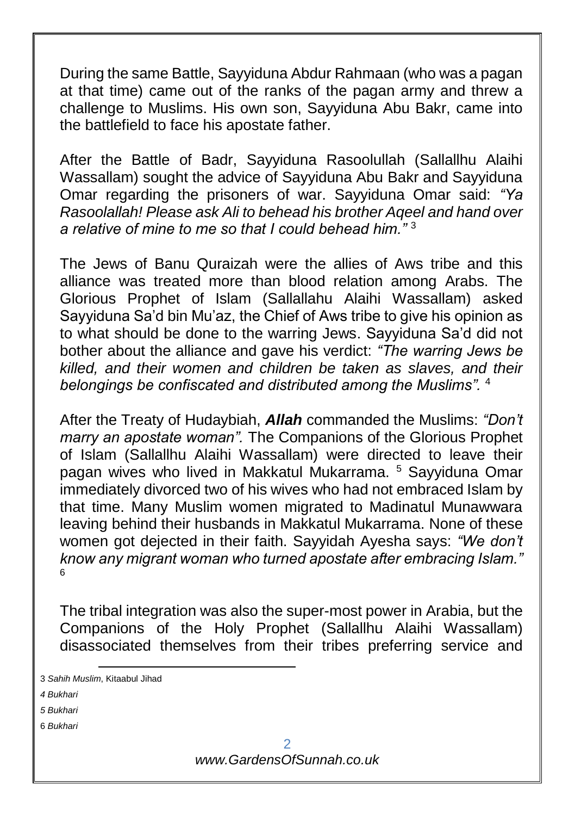During the same Battle, Sayyiduna Abdur Rahmaan (who was a pagan at that time) came out of the ranks of the pagan army and threw a challenge to Muslims. His own son, Sayyiduna Abu Bakr, came into the battlefield to face his apostate father.

After the Battle of Badr, Sayyiduna Rasoolullah (Sallallhu Alaihi Wassallam) sought the advice of Sayyiduna Abu Bakr and Sayyiduna Omar regarding the prisoners of war. Sayyiduna Omar said: *"Ya Rasoolallah! Please ask Ali to behead his brother Aqeel and hand over a relative of mine to me so that I could behead him."* <sup>3</sup>

The Jews of Banu Quraizah were the allies of Aws tribe and this alliance was treated more than blood relation among Arabs. The Glorious Prophet of Islam (Sallallahu Alaihi Wassallam) asked Sayyiduna Sa'd bin Mu'az, the Chief of Aws tribe to give his opinion as to what should be done to the warring Jews. Sayyiduna Sa'd did not bother about the alliance and gave his verdict: *"The warring Jews be killed, and their women and children be taken as slaves, and their belongings be confiscated and distributed among the Muslims".* <sup>4</sup>

After the Treaty of Hudaybiah, *Allah* commanded the Muslims: *"Don't marry an apostate woman".* The Companions of the Glorious Prophet of Islam (Sallallhu Alaihi Wassallam) were directed to leave their pagan wives who lived in Makkatul Mukarrama. <sup>5</sup> Sayyiduna Omar immediately divorced two of his wives who had not embraced Islam by that time. Many Muslim women migrated to Madinatul Munawwara leaving behind their husbands in Makkatul Mukarrama. None of these women got dejected in their faith. Sayyidah Ayesha says: *"We don't know any migrant woman who turned apostate after embracing Islam."* 6

The tribal integration was also the super-most power in Arabia, but the Companions of the Holy Prophet (Sallallhu Alaihi Wassallam) disassociated themselves from their tribes preferring service and

6 *Bukhari*

<sup>1</sup> 3 *Sahih Muslim*, Kitaabul Jihad

*<sup>4</sup> Bukhari*

*<sup>5</sup> Bukhari*